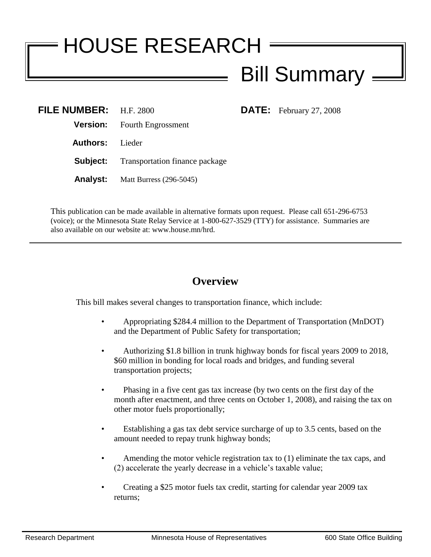# HOUSE RESEARCH Bill Summary

**DATE:** February 27, 2008

| FILE NUMBER: H.F. 2800 |                                                |
|------------------------|------------------------------------------------|
|                        | <b>Version:</b> Fourth Engrossment             |
| <b>Authors:</b> Lieder |                                                |
|                        | <b>Subject:</b> Transportation finance package |
|                        | <b>Analyst:</b> Matt Burress (296-5045)        |

This publication can be made available in alternative formats upon request. Please call 651-296-6753 (voice); or the Minnesota State Relay Service at 1-800-627-3529 (TTY) for assistance. Summaries are also available on our website at: www.house.mn/hrd.

# **Overview**

This bill makes several changes to transportation finance, which include:

- Appropriating \$284.4 million to the Department of Transportation (MnDOT) and the Department of Public Safety for transportation;
- Authorizing \$1.8 billion in trunk highway bonds for fiscal years 2009 to 2018, \$60 million in bonding for local roads and bridges, and funding several transportation projects;
- Phasing in a five cent gas tax increase (by two cents on the first day of the month after enactment, and three cents on October 1, 2008), and raising the tax on other motor fuels proportionally;
- Establishing a gas tax debt service surcharge of up to 3.5 cents, based on the amount needed to repay trunk highway bonds;
- Amending the motor vehicle registration tax to (1) eliminate the tax caps, and (2) accelerate the yearly decrease in a vehicle's taxable value;
- Creating a \$25 motor fuels tax credit, starting for calendar year 2009 tax returns;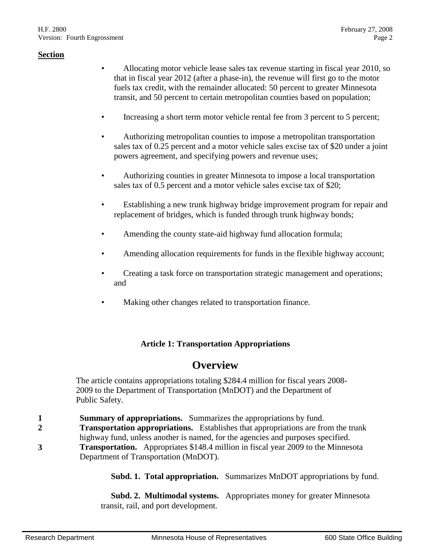- Allocating motor vehicle lease sales tax revenue starting in fiscal year 2010, so that in fiscal year 2012 (after a phase-in), the revenue will first go to the motor fuels tax credit, with the remainder allocated: 50 percent to greater Minnesota transit, and 50 percent to certain metropolitan counties based on population;
- Increasing a short term motor vehicle rental fee from 3 percent to 5 percent;
- Authorizing metropolitan counties to impose a metropolitan transportation sales tax of 0.25 percent and a motor vehicle sales excise tax of \$20 under a joint powers agreement, and specifying powers and revenue uses;
- Authorizing counties in greater Minnesota to impose a local transportation sales tax of 0.5 percent and a motor vehicle sales excise tax of \$20;
- Establishing a new trunk highway bridge improvement program for repair and replacement of bridges, which is funded through trunk highway bonds;
- Amending the county state-aid highway fund allocation formula;
- Amending allocation requirements for funds in the flexible highway account;
- Creating a task force on transportation strategic management and operations; and
- Making other changes related to transportation finance.

## **Article 1: Transportation Appropriations**

# **Overview**

The article contains appropriations totaling \$284.4 million for fiscal years 2008- 2009 to the Department of Transportation (MnDOT) and the Department of Public Safety.

- **1 Summary of appropriations.** Summarizes the appropriations by fund.
- **2 Transportation appropriations.** Establishes that appropriations are from the trunk
- highway fund, unless another is named, for the agencies and purposes specified. **3 Transportation.** Appropriates \$148.4 million in fiscal year 2009 to the Minnesota

Department of Transportation (MnDOT).

**Subd. 1. Total appropriation.** Summarizes MnDOT appropriations by fund.

 **Subd. 2. Multimodal systems.** Appropriates money for greater Minnesota transit, rail, and port development.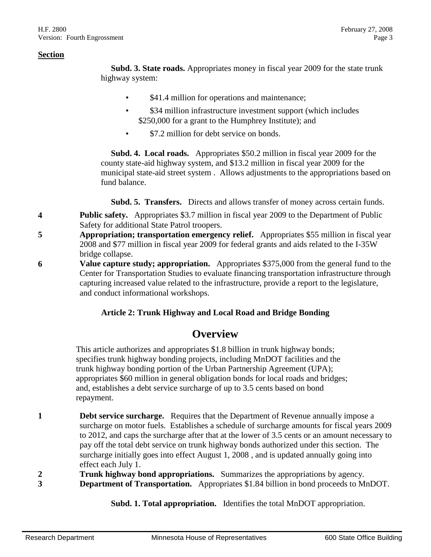**Subd. 3. State roads.** Appropriates money in fiscal year 2009 for the state trunk highway system:

- \$41.4 million for operations and maintenance;
- \$34 million infrastructure investment support (which includes \$250,000 for a grant to the Humphrey Institute); and
- \$7.2 million for debt service on bonds.

 **Subd. 4. Local roads.** Appropriates \$50.2 million in fiscal year 2009 for the county state-aid highway system, and \$13.2 million in fiscal year 2009 for the municipal state-aid street system . Allows adjustments to the appropriations based on fund balance.

**Subd. 5. Transfers.** Directs and allows transfer of money across certain funds.

- **4 Public safety.** Appropriates \$3.7 million in fiscal year 2009 to the Department of Public Safety for additional State Patrol troopers.
- **5 Appropriation; transportation emergency relief.** Appropriates \$55 million in fiscal year 2008 and \$77 million in fiscal year 2009 for federal grants and aids related to the I-35W bridge collapse.
- **6 Value capture study; appropriation.** Appropriates \$375,000 from the general fund to the Center for Transportation Studies to evaluate financing transportation infrastructure through capturing increased value related to the infrastructure, provide a report to the legislature, and conduct informational workshops.

## **Article 2: Trunk Highway and Local Road and Bridge Bonding**

# **Overview**

This article authorizes and appropriates \$1.8 billion in trunk highway bonds; specifies trunk highway bonding projects, including MnDOT facilities and the trunk highway bonding portion of the Urban Partnership Agreement (UPA); appropriates \$60 million in general obligation bonds for local roads and bridges; and, establishes a debt service surcharge of up to 3.5 cents based on bond repayment.

- **1 1 Debt service surcharge.** Requires that the Department of Revenue annually impose a surcharge on motor fuels. Establishes a schedule of surcharge amounts for fiscal years 2009 to 2012, and caps the surcharge after that at the lower of 3.5 cents or an amount necessary to pay off the total debt service on trunk highway bonds authorized under this section. The surcharge initially goes into effect August 1, 2008 , and is updated annually going into effect each July 1.
- **2 Trunk highway bond appropriations.** Summarizes the appropriations by agency.
- **3 Department of Transportation.** Appropriates \$1.84 billion in bond proceeds to MnDOT.

**Subd. 1. Total appropriation.** Identifies the total MnDOT appropriation.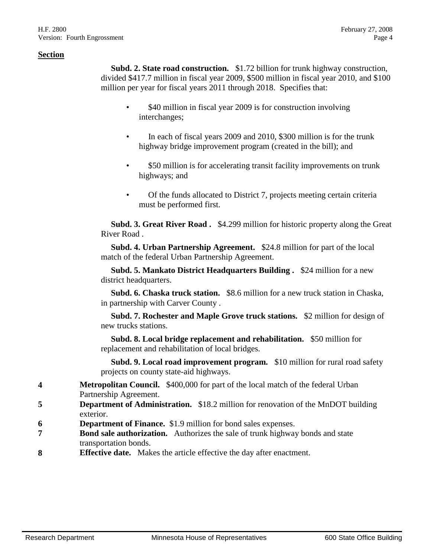**Subd. 2. State road construction.** \$1.72 billion for trunk highway construction, divided \$417.7 million in fiscal year 2009, \$500 million in fiscal year 2010, and \$100 million per year for fiscal years 2011 through 2018. Specifies that:

- \$40 million in fiscal year 2009 is for construction involving interchanges;
- In each of fiscal years 2009 and 2010, \$300 million is for the trunk highway bridge improvement program (created in the bill); and
- \$50 million is for accelerating transit facility improvements on trunk highways; and
- Of the funds allocated to District 7, projects meeting certain criteria must be performed first.

 **Subd. 3. Great River Road .** \$4.299 million for historic property along the Great River Road .

 **Subd. 4. Urban Partnership Agreement.** \$24.8 million for part of the local match of the federal Urban Partnership Agreement.

 **Subd. 5. Mankato District Headquarters Building .** \$24 million for a new district headquarters.

 **Subd. 6. Chaska truck station.** \$8.6 million for a new truck station in Chaska, in partnership with Carver County .

 **Subd. 7. Rochester and Maple Grove truck stations.** \$2 million for design of new trucks stations.

 **Subd. 8. Local bridge replacement and rehabilitation.** \$50 million for replacement and rehabilitation of local bridges.

 **Subd. 9. Local road improvement program.** \$10 million for rural road safety projects on county state-aid highways.

- **4 Metropolitan Council.** \$400,000 for part of the local match of the federal Urban Partnership Agreement.
- **5 Department of Administration.** \$18.2 million for renovation of the MnDOT building exterior.
- **6 Department of Finance.** \$1.9 million for bond sales expenses.
- **7 Bond sale authorization.** Authorizes the sale of trunk highway bonds and state transportation bonds.
- **8 Effective date.** Makes the article effective the day after enactment.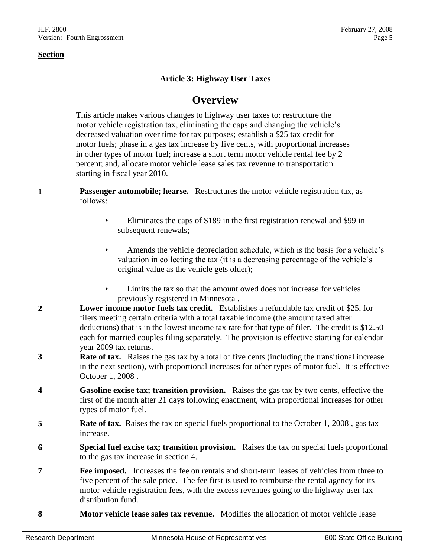## **Article 3: Highway User Taxes**

# **Overview**

This article makes various changes to highway user taxes to: restructure the motor vehicle registration tax, eliminating the caps and changing the vehicle's decreased valuation over time for tax purposes; establish a \$25 tax credit for motor fuels; phase in a gas tax increase by five cents, with proportional increases in other types of motor fuel; increase a short term motor vehicle rental fee by 2 percent; and, allocate motor vehicle lease sales tax revenue to transportation starting in fiscal year 2010.

- **1 Passenger automobile; hearse.** Restructures the motor vehicle registration tax, as follows:
	- Eliminates the caps of \$189 in the first registration renewal and \$99 in subsequent renewals;
	- Amends the vehicle depreciation schedule, which is the basis for a vehicle's valuation in collecting the tax (it is a decreasing percentage of the vehicle's original value as the vehicle gets older);
	- Limits the tax so that the amount owed does not increase for vehicles previously registered in Minnesota .
- **2 Lower income motor fuels tax credit.** Establishes a refundable tax credit of \$25, for filers meeting certain criteria with a total taxable income (the amount taxed after deductions) that is in the lowest income tax rate for that type of filer. The credit is \$12.50 each for married couples filing separately. The provision is effective starting for calendar year 2009 tax returns.
- **3 Rate of tax.** Raises the gas tax by a total of five cents (including the transitional increase in the next section), with proportional increases for other types of motor fuel. It is effective October 1, 2008 .
- **4 Gasoline excise tax; transition provision.** Raises the gas tax by two cents, effective the first of the month after 21 days following enactment, with proportional increases for other types of motor fuel.
- **5 Rate of tax.** Raises the tax on special fuels proportional to the October 1, 2008, gas tax increase.
- **6 Special fuel excise tax; transition provision.** Raises the tax on special fuels proportional to the gas tax increase in section 4.
- **Fee imposed.** Increases the fee on rentals and short-term leases of vehicles from three to five percent of the sale price. The fee first is used to reimburse the rental agency for its motor vehicle registration fees, with the excess revenues going to the highway user tax distribution fund.
- **8 Motor vehicle lease sales tax revenue.** Modifies the allocation of motor vehicle lease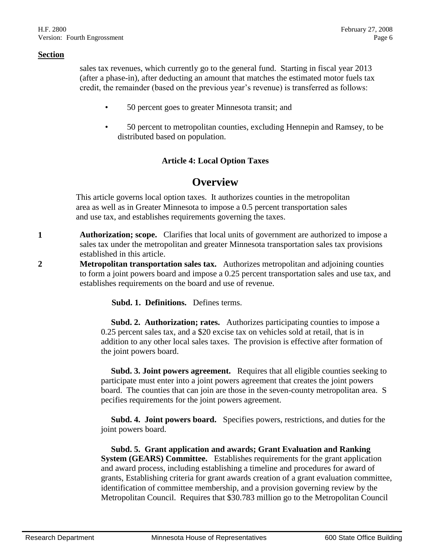sales tax revenues, which currently go to the general fund. Starting in fiscal year 2013 (after a phase-in), after deducting an amount that matches the estimated motor fuels tax credit, the remainder (based on the previous year's revenue) is transferred as follows:

- 50 percent goes to greater Minnesota transit; and
- 50 percent to metropolitan counties, excluding Hennepin and Ramsey, to be distributed based on population.

## **Article 4: Local Option Taxes**

## **Overview**

This article governs local option taxes. It authorizes counties in the metropolitan area as well as in Greater Minnesota to impose a 0.5 percent transportation sales and use tax, and establishes requirements governing the taxes.

- **1 Authorization; scope.** Clarifies that local units of government are authorized to impose a sales tax under the metropolitan and greater Minnesota transportation sales tax provisions established in this article.
- **2 Metropolitan transportation sales tax.** Authorizes metropolitan and adjoining counties to form a joint powers board and impose a 0.25 percent transportation sales and use tax, and establishes requirements on the board and use of revenue.

**Subd. 1. Definitions.** Defines terms.

**Subd. 2. Authorization; rates.** Authorizes participating counties to impose a 0.25 percent sales tax, and a \$20 excise tax on vehicles sold at retail, that is in addition to any other local sales taxes. The provision is effective after formation of the joint powers board.

 **Subd. 3. Joint powers agreement.** Requires that all eligible counties seeking to participate must enter into a joint powers agreement that creates the joint powers board. The counties that can join are those in the seven-county metropolitan area. S pecifies requirements for the joint powers agreement.

 **Subd. 4. Joint powers board.** Specifies powers, restrictions, and duties for the joint powers board.

 **Subd. 5. Grant application and awards; Grant Evaluation and Ranking System (GEARS) Committee.** Establishes requirements for the grant application and award process, including establishing a timeline and procedures for award of grants, Establishing criteria for grant awards creation of a grant evaluation committee, identification of committee membership, and a provision governing review by the Metropolitan Council. Requires that \$30.783 million go to the Metropolitan Council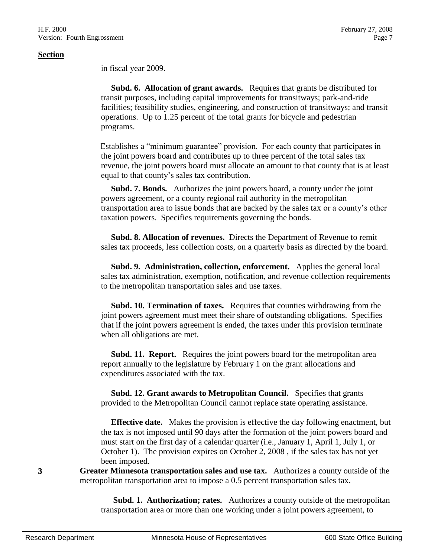in fiscal year 2009.

 **Subd. 6. Allocation of grant awards.** Requires that grants be distributed for transit purposes, including capital improvements for transitways; park-and-ride facilities; feasibility studies, engineering, and construction of transitways; and transit operations. Up to 1.25 percent of the total grants for bicycle and pedestrian programs.

Establishes a "minimum guarantee" provision. For each county that participates in the joint powers board and contributes up to three percent of the total sales tax revenue, the joint powers board must allocate an amount to that county that is at least equal to that county's sales tax contribution.

 **Subd. 7. Bonds.** Authorizes the joint powers board, a county under the joint powers agreement, or a county regional rail authority in the metropolitan transportation area to issue bonds that are backed by the sales tax or a county's other taxation powers. Specifies requirements governing the bonds.

 **Subd. 8. Allocation of revenues.** Directs the Department of Revenue to remit sales tax proceeds, less collection costs, on a quarterly basis as directed by the board.

 **Subd. 9. Administration, collection, enforcement.** Applies the general local sales tax administration, exemption, notification, and revenue collection requirements to the metropolitan transportation sales and use taxes.

 **Subd. 10. Termination of taxes.** Requires that counties withdrawing from the joint powers agreement must meet their share of outstanding obligations. Specifies that if the joint powers agreement is ended, the taxes under this provision terminate when all obligations are met.

 **Subd. 11. Report.** Requires the joint powers board for the metropolitan area report annually to the legislature by February 1 on the grant allocations and expenditures associated with the tax.

 **Subd. 12. Grant awards to Metropolitan Council.** Specifies that grants provided to the Metropolitan Council cannot replace state operating assistance.

 **Effective date.** Makes the provision is effective the day following enactment, but the tax is not imposed until 90 days after the formation of the joint powers board and must start on the first day of a calendar quarter (i.e., January 1, April 1, July 1, or October 1). The provision expires on October 2, 2008 , if the sales tax has not yet been imposed.

**3 Greater Minnesota transportation sales and use tax.** Authorizes a county outside of the metropolitan transportation area to impose a 0.5 percent transportation sales tax.

> **Subd. 1. Authorization; rates.** Authorizes a county outside of the metropolitan transportation area or more than one working under a joint powers agreement, to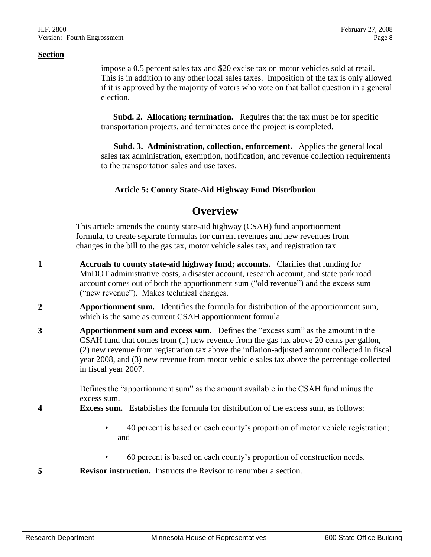impose a 0.5 percent sales tax and \$20 excise tax on motor vehicles sold at retail. This is in addition to any other local sales taxes. Imposition of the tax is only allowed if it is approved by the majority of voters who vote on that ballot question in a general election.

**Subd. 2. Allocation; termination.** Requires that the tax must be for specific transportation projects, and terminates once the project is completed.

**Subd. 3. Administration, collection, enforcement.** Applies the general local sales tax administration, exemption, notification, and revenue collection requirements to the transportation sales and use taxes.

## **Article 5: County State-Aid Highway Fund Distribution**

# **Overview**

This article amends the county state-aid highway (CSAH) fund apportionment formula, to create separate formulas for current revenues and new revenues from changes in the bill to the gas tax, motor vehicle sales tax, and registration tax.

- **1 Accruals to county state-aid highway fund; accounts.** Clarifies that funding for MnDOT administrative costs, a disaster account, research account, and state park road account comes out of both the apportionment sum ("old revenue") and the excess sum ("new revenue"). Makes technical changes.
- **2 Apportionment sum.** Identifies the formula for distribution of the apportionment sum, which is the same as current CSAH apportionment formula.
- **3 Apportionment sum and excess sum.** Defines the "excess sum" as the amount in the CSAH fund that comes from (1) new revenue from the gas tax above 20 cents per gallon, (2) new revenue from registration tax above the inflation-adjusted amount collected in fiscal year 2008, and (3) new revenue from motor vehicle sales tax above the percentage collected in fiscal year 2007.

Defines the "apportionment sum" as the amount available in the CSAH fund minus the excess sum.

- **4 Excess sum.** Establishes the formula for distribution of the excess sum, as follows:
	- 40 percent is based on each county's proportion of motor vehicle registration; and
	- 60 percent is based on each county's proportion of construction needs.
- **5 Revisor instruction.** Instructs the Revisor to renumber a section.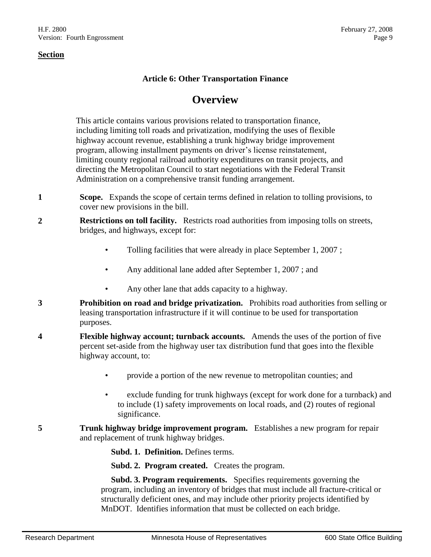## **Article 6: Other Transportation Finance**

# **Overview**

This article contains various provisions related to transportation finance, including limiting toll roads and privatization, modifying the uses of flexible highway account revenue, establishing a trunk highway bridge improvement program, allowing installment payments on driver's license reinstatement, limiting county regional railroad authority expenditures on transit projects, and directing the Metropolitan Council to start negotiations with the Federal Transit Administration on a comprehensive transit funding arrangement.

- **1 Scope.** Expands the scope of certain terms defined in relation to tolling provisions, to cover new provisions in the bill.
- **2 Restrictions on toll facility.** Restricts road authorities from imposing tolls on streets, bridges, and highways, except for:
	- Tolling facilities that were already in place September 1, 2007;
	- Any additional lane added after September 1, 2007 ; and
	- Any other lane that adds capacity to a highway.
- **3 Prohibition on road and bridge privatization.** Prohibits road authorities from selling or leasing transportation infrastructure if it will continue to be used for transportation purposes.
- **4 Flexible highway account; turnback accounts.** Amends the uses of the portion of five percent set-aside from the highway user tax distribution fund that goes into the flexible highway account, to:
	- provide a portion of the new revenue to metropolitan counties; and
	- exclude funding for trunk highways (except for work done for a turnback) and to include (1) safety improvements on local roads, and (2) routes of regional significance.
- **5 Trunk highway bridge improvement program.** Establishes a new program for repair and replacement of trunk highway bridges.

**Subd. 1. Definition.** Defines terms.

**Subd. 2. Program created.** Creates the program.

 **Subd. 3. Program requirements.** Specifies requirements governing the program, including an inventory of bridges that must include all fracture-critical or structurally deficient ones, and may include other priority projects identified by MnDOT. Identifies information that must be collected on each bridge.